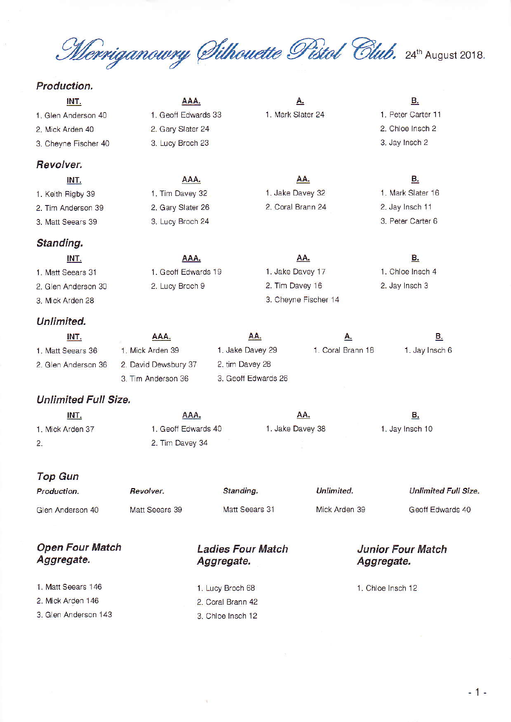Merriganowry Silhouette Pistol Club. 24th August 2018.

## Production.

| INT.                 | AAA.                 | А.                |                      | В.                 |  |  |  |  |
|----------------------|----------------------|-------------------|----------------------|--------------------|--|--|--|--|
| 1. Glen Anderson 40  | 1. Geoff Edwards 33  | 1. Mark Slater 24 |                      | 1. Peter Carter 11 |  |  |  |  |
| 2. Mick Arden 40     | 2. Gary Slater 24    |                   |                      | 2. Chloe Insch 2   |  |  |  |  |
| 3. Cheyne Fischer 40 | 3. Lucy Broch 23     |                   |                      | 3. Jay Insch 2     |  |  |  |  |
| Revolver.            |                      |                   |                      |                    |  |  |  |  |
| INT.                 | AAA.                 |                   | <u>AA.</u>           | В.                 |  |  |  |  |
| 1. Keith Rigby 39    | 1. Tim Davey 32      | 1. Jake Davey 32  |                      | 1. Mark Slater 16  |  |  |  |  |
| 2. Tim Anderson 39   | 2. Gary Slater 26    | 2. Coral Brann 24 |                      | 2. Jay Insch 11    |  |  |  |  |
| 3. Matt Seears 39    | 3. Lucy Broch 24     |                   |                      | 3. Peter Carter 6  |  |  |  |  |
| Standing.            |                      |                   |                      |                    |  |  |  |  |
| INT.                 | AAA.                 |                   | AA.                  | <u>B.</u>          |  |  |  |  |
| 1. Matt Seears 31    | 1. Geoff Edwards 19  | 1. Jake Davey 17  |                      | 1. Chloe Insch 4   |  |  |  |  |
| 2. Glen Anderson 30  | 2. Lucy Broch 9      | 2. Tim Davey 16   |                      | 2. Jay Insch 3     |  |  |  |  |
| 3. Mick Arden 28     |                      |                   | 3. Cheyne Fischer 14 |                    |  |  |  |  |
| Unlimited.           |                      |                   |                      |                    |  |  |  |  |
| INT.                 | AAA.                 | AA.               | <u>A.</u>            | <u>B.</u>          |  |  |  |  |
| 1. Matt Seears 36    | 1. Mick Arden 39     | 1. Jake Davey 29  | 1. Coral Brann 18    | 1. Jay Insch 6     |  |  |  |  |
| 2. Glen Anderson 36  | 2. David Dewsbury 37 | 2. tim Davey 28   |                      |                    |  |  |  |  |

## **Unlimited Full Size.**

3. Tim Anderson 36

| INT.             | <u>AAA.</u>         | <u>АА.</u>       | <u>D.</u>       |  |  |  |  |
|------------------|---------------------|------------------|-----------------|--|--|--|--|
| 1. Mick Arden 37 | 1. Geoff Edwards 40 | 1. Jake Davey 38 | 1. Jay Insch 10 |  |  |  |  |
| 2.               | 2. Tim Davey 34     |                  |                 |  |  |  |  |

3. Geoff Edwards 26

## **Top Gun**

| Production.      | Revolver.      | Standing.      | Unlimited.    | <b>Unlimited Full Size.</b> |  |  |  |  |
|------------------|----------------|----------------|---------------|-----------------------------|--|--|--|--|
| Glen Anderson 40 | Matt Seears 39 | Matt Seears 31 | Mick Arden 39 | Geoff Edwards 40            |  |  |  |  |

| <b>Open Four Match</b><br>Aggregate. | <b>Ladies Four Match</b><br>Aggregate. | <b>Junior Four Match</b><br>Aggregate. |
|--------------------------------------|----------------------------------------|----------------------------------------|
| 1. Matt Seears 146                   | 1. Lucy Broch 68                       | 1. Chloe Insch 12                      |
| 2. Mick Arden 146                    | 2. Coral Brann 42                      |                                        |
| 3. Glen Anderson 143                 | 3. Chloe Insch 12                      |                                        |